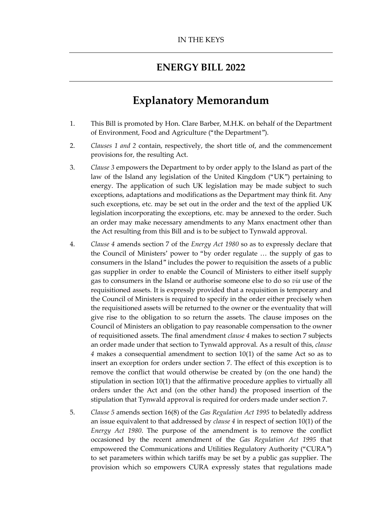### **ENERGY BILL 2022**

## **Explanatory Memorandum**

- 1. This Bill is promoted by Hon. Clare Barber, M.H.K. on behalf of the Department of Environment, Food and Agriculture ("the Department").
- 2. *Clauses 1 and 2* contain, respectively, the short title of, and the commencement provisions for, the resulting Act.
- 3. *Clause 3* empowers the Department to by order apply to the Island as part of the law of the Island any legislation of the United Kingdom ("UK") pertaining to energy. The application of such UK legislation may be made subject to such exceptions, adaptations and modifications as the Department may think fit. Any such exceptions, etc. may be set out in the order and the text of the applied UK legislation incorporating the exceptions, etc. may be annexed to the order. Such an order may make necessary amendments to any Manx enactment other than the Act resulting from this Bill and is to be subject to Tynwald approval.
- 4. *Clause 4* amends section 7 of the *Energy Act 1980* so as to expressly declare that the Council of Ministers' power to "by order regulate … the supply of gas to consumers in the Island" includes the power to requisition the assets of a public gas supplier in order to enable the Council of Ministers to either itself supply gas to consumers in the Island or authorise someone else to do so *via* use of the requisitioned assets. It is expressly provided that a requisition is temporary and the Council of Ministers is required to specify in the order either precisely when the requisitioned assets will be returned to the owner or the eventuality that will give rise to the obligation to so return the assets. The clause imposes on the Council of Ministers an obligation to pay reasonable compensation to the owner of requisitioned assets. The final amendment *clause 4* makes to section 7 subjects an order made under that section to Tynwald approval. As a result of this, *clause 4* makes a consequential amendment to section 10(1) of the same Act so as to insert an exception for orders under section 7. The effect of this exception is to remove the conflict that would otherwise be created by (on the one hand) the stipulation in section 10(1) that the affirmative procedure applies to virtually all orders under the Act and (on the other hand) the proposed insertion of the stipulation that Tynwald approval is required for orders made under section 7.
- 5. *Clause 5* amends section 16(8) of the *Gas Regulation Act 1995* to belatedly address an issue equivalent to that addressed by *clause 4* in respect of section 10(1) of the *Energy Act 1980*. The purpose of the amendment is to remove the conflict occasioned by the recent amendment of the *Gas Regulation Act 1995* that empowered the Communications and Utilities Regulatory Authority ("CURA") to set parameters within which tariffs may be set by a public gas supplier. The provision which so empowers CURA expressly states that regulations made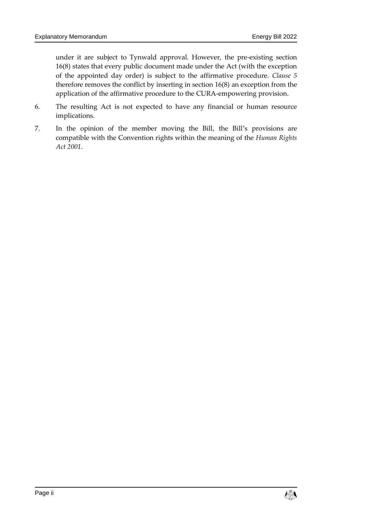under it are subject to Tynwald approval. However, the pre-existing section 16(8) states that every public document made under the Act (with the exception of the appointed day order) is subject to the affirmative procedure. *Clause 5* therefore removes the conflict by inserting in section 16(8) an exception from the application of the affirmative procedure to the CURA-empowering provision.

- 6. The resulting Act is not expected to have any financial or human resource implications.
- 7. In the opinion of the member moving the Bill, the Bill's provisions are compatible with the Convention rights within the meaning of the *Human Rights Act 2001*.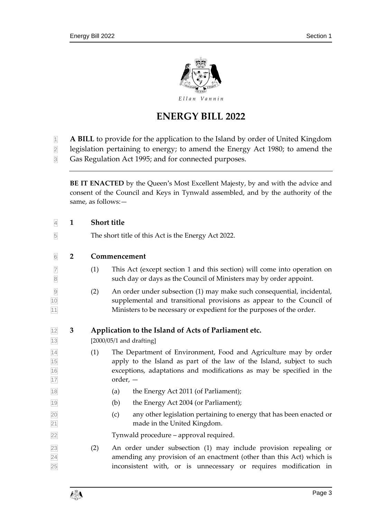

# **ENERGY BILL 2022**

- **A BILL** to provide for the application to the Island by order of United Kingdom
- legislation pertaining to energy; to amend the Energy Act 1980; to amend the Gas Regulation Act 1995; and for connected purposes.

**BE IT ENACTED** by the Queen's Most Excellent Majesty, by and with the advice and consent of the Council and Keys in Tynwald assembled, and by the authority of the same, as follows:—

| $\overline{4}$                                  | $\mathbf{1}$   | <b>Short title</b>                                                                                                                                                                                                                     |  |  |
|-------------------------------------------------|----------------|----------------------------------------------------------------------------------------------------------------------------------------------------------------------------------------------------------------------------------------|--|--|
| $\overline{5}$                                  |                | The short title of this Act is the Energy Act 2022.                                                                                                                                                                                    |  |  |
| 6                                               | $\overline{2}$ | Commencement                                                                                                                                                                                                                           |  |  |
| $\overline{7}$<br>$\overline{8}$                |                | (1)<br>This Act (except section 1 and this section) will come into operation on<br>such day or days as the Council of Ministers may by order appoint.                                                                                  |  |  |
| $\frac{9}{10}$ $\frac{10}{11}$                  |                | An order under subsection (1) may make such consequential, incidental,<br>(2)<br>supplemental and transitional provisions as appear to the Council of<br>Ministers to be necessary or expedient for the purposes of the order.         |  |  |
|                                                 | 3              | Application to the Island of Acts of Parliament etc.                                                                                                                                                                                   |  |  |
|                                                 |                | $[2000/05/1$ and drafting]                                                                                                                                                                                                             |  |  |
| $\frac{12}{13}$ $\frac{14}{15}$ $\frac{16}{17}$ |                | (1)<br>The Department of Environment, Food and Agriculture may by order<br>apply to the Island as part of the law of the Island, subject to such<br>exceptions, adaptations and modifications as may be specified in the<br>$order, -$ |  |  |
| $\frac{18}{ }$                                  |                | the Energy Act 2011 (of Parliament);<br>(a)                                                                                                                                                                                            |  |  |
| 19                                              |                | the Energy Act 2004 (or Parliament);<br>(b)                                                                                                                                                                                            |  |  |
| $\frac{20}{21}$                                 |                | any other legislation pertaining to energy that has been enacted or<br>(c)<br>made in the United Kingdom.                                                                                                                              |  |  |
| $\overline{22}$                                 |                | Tynwald procedure - approval required.                                                                                                                                                                                                 |  |  |
| $\frac{23}{24}$                                 |                | An order under subsection (1) may include provision repealing or<br>(2)<br>amending any provision of an enactment (other than this Act) which is<br>inconsistent with, or is unnecessary or requires modification in                   |  |  |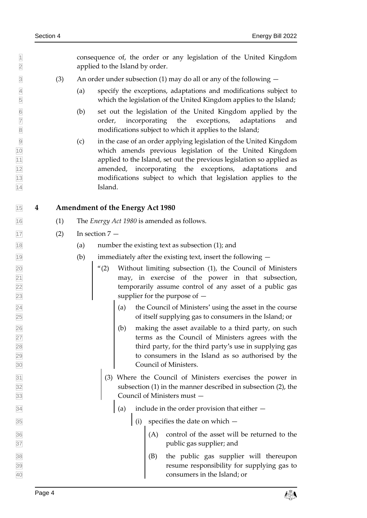consequence of, the order or any legislation of the United Kingdom applied to the Island by order.

- $\boxed{3}$  (3) An order under subsection (1) may do all or any of the following  $-$
- (a) specify the exceptions, adaptations and modifications subject to which the legislation of the United Kingdom applies to the Island;
- (b) set out the legislation of the United Kingdom applied by the order, incorporating the exceptions, adaptations and modifications subject to which it applies to the Island;
- (c) in the case of an order applying legislation of the United Kingdom which amends previous legislation of the United Kingdom applied to the Island, set out the previous legislation so applied as amended, incorporating the exceptions, adaptations and modifications subject to which that legislation applies to the Island.

#### **4 Amendment of the Energy Act 1980**

- (1) The *Energy Act 1980* is amended as follows.
- $\overline{17}$  (2) In section  $\overline{7}$  —
- (a) number the existing text as subsection (1); and
- $\frac{1}{19}$  (b) immediately after the existing text, insert the following  $-$
- "(2) Without limiting subsection (1), the Council of Ministers may, in exercise of the power in that subsection, temporarily assume control of any asset of a public gas supplier for the purpose of —
- $\vert$  (a) the Council of Ministers' using the asset in the course of itself supplying gas to consumers in the Island; or
- $\vert$  (b) making the asset available to a third party, on such terms as the Council of Ministers agrees with the 28 third party, for the third party's use in supplying gas to consumers in the Island as so authorised by the Council of Ministers.
- (3) Where the Council of Ministers exercises the power in subsection (1) in the manner described in subsection (2), the Council of Ministers must —
- $\sqrt{34}$  (a) include in the order provision that either  $\rightarrow$
- $\frac{35}{35}$  (i) specifies the date on which  $-$
- $\vert$  (A) control of the asset will be returned to the public gas supplier; and
- (B) the public gas supplier will thereupon resume responsibility for supplying gas to consumers in the Island; or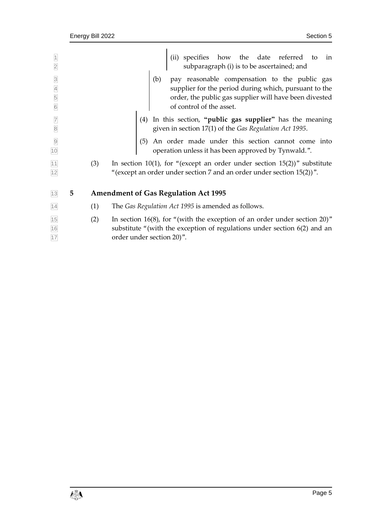|                                                      |   |     | (ii) specifies how the date referred to<br>subparagraph (i) is to be ascertained; and<br>in                                                                                                      |
|------------------------------------------------------|---|-----|--------------------------------------------------------------------------------------------------------------------------------------------------------------------------------------------------|
|                                                      |   |     |                                                                                                                                                                                                  |
| $\overline{3}$<br>$\overline{4}$<br>5<br>$\boxed{6}$ |   |     | (b) pay reasonable compensation to the public gas<br>supplier for the period during which, pursuant to the<br>order, the public gas supplier will have been divested<br>of control of the asset. |
| $\overline{7}$<br>$\overline{8}$                     |   |     | In this section, "public gas supplier" has the meaning<br>(4)<br>given in section 17(1) of the Gas Regulation Act 1995.                                                                          |
| 10                                                   |   |     | An order made under this section cannot come into<br>(5)<br>operation unless it has been approved by Tynwald.".                                                                                  |
| $\frac{11}{12}$                                      |   | (3) | In section 10(1), for "(except an order under section 15(2))" substitute<br>"(except an order under section 7 and an order under section $15(2)$ )".                                             |
| 13                                                   | 5 |     | <b>Amendment of Gas Regulation Act 1995</b>                                                                                                                                                      |
| 14                                                   |   | (1) | The Gas Regulation Act 1995 is amended as follows.                                                                                                                                               |
| $\frac{15}{16}$<br>17                                |   | (2) | In section 16(8), for "(with the exception of an order under section 20)"<br>substitute "(with the exception of regulations under section $6(2)$ and an<br>order under section 20)".             |
|                                                      |   |     |                                                                                                                                                                                                  |